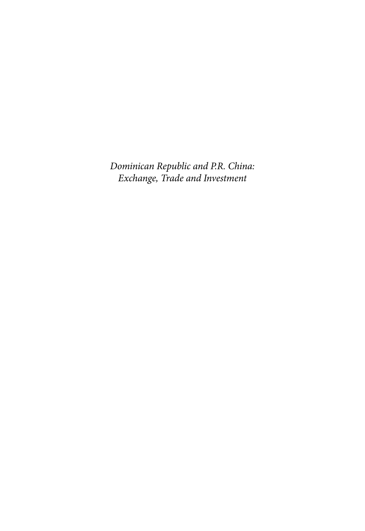*Dominican Republic and P.R. China: Exchange, Trade and Investment*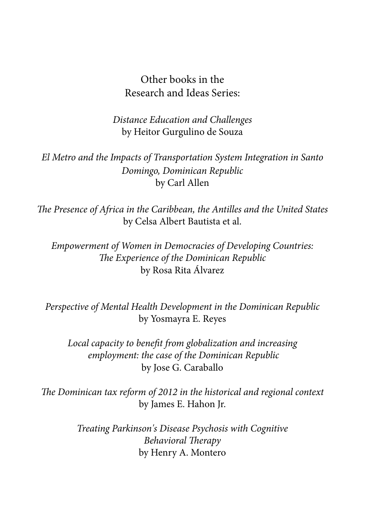#### Other books in the Research and Ideas Series:

*Distance Education and Challenges* by Heitor Gurgulino de Souza

*El Metro and the Impacts of Transportation System Integration in Santo Domingo, Dominican Republic* by Carl Allen

*The Presence of Africa in the Caribbean, the Antilles and the United States* by Celsa Albert Bautista et al.

*Empowerment of Women in Democracies of Developing Countries: The Experience of the Dominican Republic* by Rosa Rita Álvarez

*Perspective of Mental Health Development in the Dominican Republic* by Yosmayra E. Reyes

*Local capacity to benefit from globalization and increasing employment: the case of the Dominican Republic* by Jose G. Caraballo

*The Dominican tax reform of 2012 in the historical and regional context* by James E. Hahon Jr.

> *Treating Parkinson's Disease Psychosis with Cognitive Behavioral Therapy* by Henry A. Montero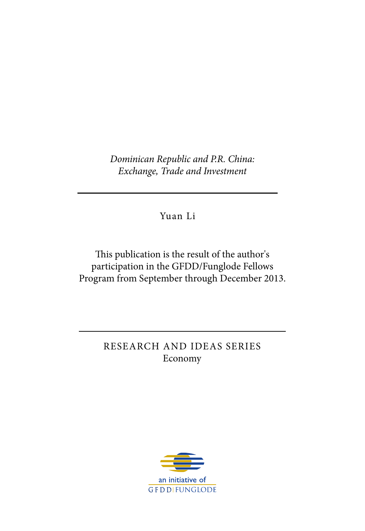*Dominican Republic and P.R. China: Exchange, Trade and Investment*

Yuan Li

This publication is the result of the author's participation in the GFDD/Funglode Fellows Program from September through December 2013.

> RESEARCH AND IDEAS SERIES Economy

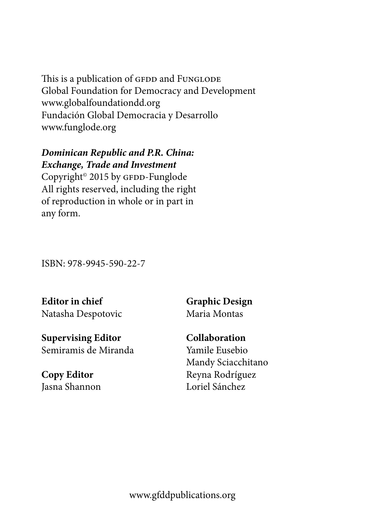This is a publication of GFDD and FUNGLODE Global Foundation for Democracy and Development www.globalfoundationdd.org Fundación Global Democracia y Desarrollo www.funglode.org

#### *Dominican Republic and P.R. China: Exchange, Trade and Investment*

Copyright<sup>®</sup> 2015 by GFDD-Funglode All rights reserved, including the right of reproduction in whole or in part in any form.

ISBN: 978-9945-590-22-7

**Editor in chief** Natasha Despotovic

**Supervising Editor** Semiramis de Miranda

**Copy Editor** Jasna Shannon **Graphic Design** Maria Montas

**Collaboration** Yamile Eusebio Mandy Sciacchitano Reyna Rodríguez Loriel Sánchez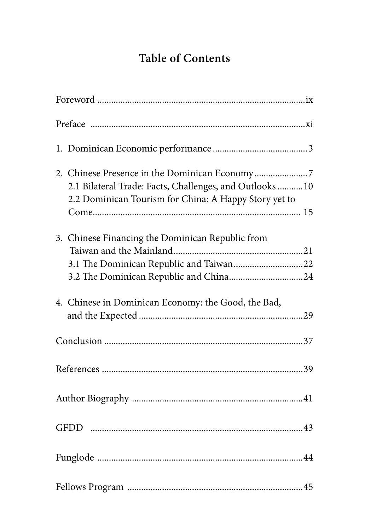# **Table of Contents**

| 2.1 Bilateral Trade: Facts, Challenges, and Outlooks  10<br>2.2 Dominican Tourism for China: A Happy Story yet to |  |
|-------------------------------------------------------------------------------------------------------------------|--|
| 3. Chinese Financing the Dominican Republic from                                                                  |  |
| 4. Chinese in Dominican Economy: the Good, the Bad,                                                               |  |
|                                                                                                                   |  |
|                                                                                                                   |  |
|                                                                                                                   |  |
|                                                                                                                   |  |
|                                                                                                                   |  |
|                                                                                                                   |  |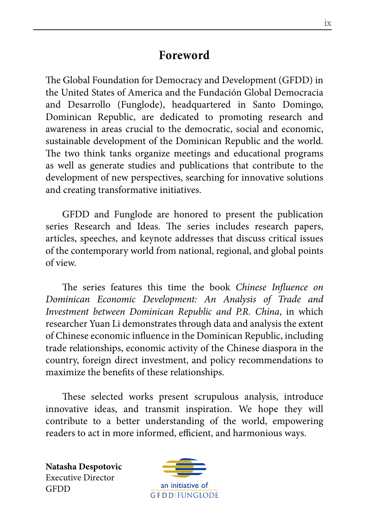## **Foreword**

The Global Foundation for Democracy and Development (GFDD) in the United States of America and the Fundación Global Democracia and Desarrollo (Funglode), headquartered in Santo Domingo, Dominican Republic, are dedicated to promoting research and awareness in areas crucial to the democratic, social and economic, sustainable development of the Dominican Republic and the world. The two think tanks organize meetings and educational programs as well as generate studies and publications that contribute to the development of new perspectives, searching for innovative solutions and creating transformative initiatives.

GFDD and Funglode are honored to present the publication series Research and Ideas. The series includes research papers, articles, speeches, and keynote addresses that discuss critical issues of the contemporary world from national, regional, and global points of view.

The series features this time the book *Chinese Influence on Dominican Economic Development: An Analysis of Trade and Investment between Dominican Republic and P.R. China*, in which researcher Yuan Li demonstrates through data and analysis the extent of Chinese economic influence in the Dominican Republic, including trade relationships, economic activity of the Chinese diaspora in the country, foreign direct investment, and policy recommendations to maximize the benefits of these relationships.

These selected works present scrupulous analysis, introduce innovative ideas, and transmit inspiration. We hope they will contribute to a better understanding of the world, empowering readers to act in more informed, efficient, and harmonious ways.

**Natasha Despotovic** Executive Director **GFDD** 

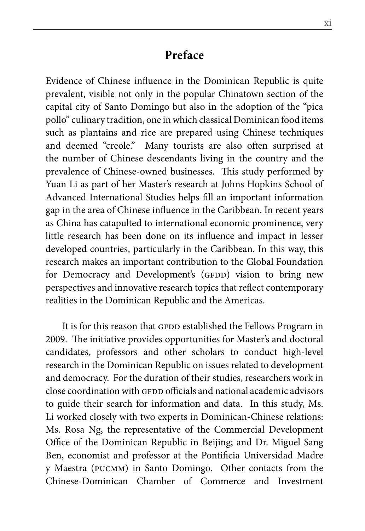#### **Preface**

Evidence of Chinese influence in the Dominican Republic is quite prevalent, visible not only in the popular Chinatown section of the capital city of Santo Domingo but also in the adoption of the "pica pollo" culinary tradition, one in which classical Dominican food items such as plantains and rice are prepared using Chinese techniques and deemed "creole." Many tourists are also often surprised at the number of Chinese descendants living in the country and the prevalence of Chinese-owned businesses. This study performed by Yuan Li as part of her Master's research at Johns Hopkins School of Advanced International Studies helps fill an important information gap in the area of Chinese influence in the Caribbean. In recent years as China has catapulted to international economic prominence, very little research has been done on its influence and impact in lesser developed countries, particularly in the Caribbean. In this way, this research makes an important contribution to the Global Foundation for Democracy and Development's (GFDD) vision to bring new perspectives and innovative research topics that reflect contemporary realities in the Dominican Republic and the Americas.

It is for this reason that GFDD established the Fellows Program in 2009. The initiative provides opportunities for Master's and doctoral candidates, professors and other scholars to conduct high-level research in the Dominican Republic on issues related to development and democracy. For the duration of their studies, researchers work in close coordination with GFDD officials and national academic advisors to guide their search for information and data. In this study, Ms. Li worked closely with two experts in Dominican-Chinese relations: Ms. Rosa Ng, the representative of the Commercial Development Office of the Dominican Republic in Beijing; and Dr. Miguel Sang Ben, economist and professor at the Pontificia Universidad Madre y Maestra (pucmm) in Santo Domingo. Other contacts from the Chinese-Dominican Chamber of Commerce and Investment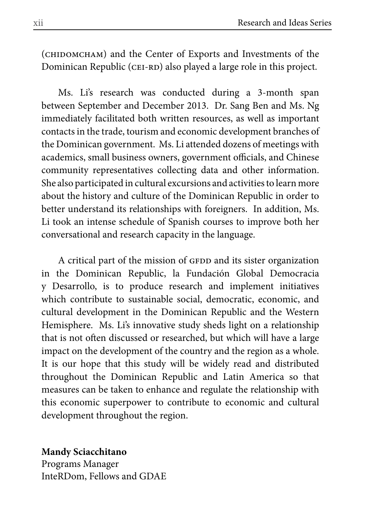(сниромснам) and the Center of Exports and Investments of the Dominican Republic (CEI-RD) also played a large role in this project.

Ms. Li's research was conducted during a 3-month span between September and December 2013. Dr. Sang Ben and Ms. Ng immediately facilitated both written resources, as well as important contacts in the trade, tourism and economic development branches of the Dominican government. Ms. Li attended dozens of meetings with academics, small business owners, government officials, and Chinese community representatives collecting data and other information. She also participated in cultural excursions and activities to learn more about the history and culture of the Dominican Republic in order to better understand its relationships with foreigners. In addition, Ms. Li took an intense schedule of Spanish courses to improve both her conversational and research capacity in the language.

A critical part of the mission of GFDD and its sister organization in the Dominican Republic, la Fundación Global Democracia y Desarrollo, is to produce research and implement initiatives which contribute to sustainable social, democratic, economic, and cultural development in the Dominican Republic and the Western Hemisphere. Ms. Li's innovative study sheds light on a relationship that is not often discussed or researched, but which will have a large impact on the development of the country and the region as a whole. It is our hope that this study will be widely read and distributed throughout the Dominican Republic and Latin America so that measures can be taken to enhance and regulate the relationship with this economic superpower to contribute to economic and cultural development throughout the region.

#### **Mandy Sciacchitano**

Programs Manager InteRDom, Fellows and GDAE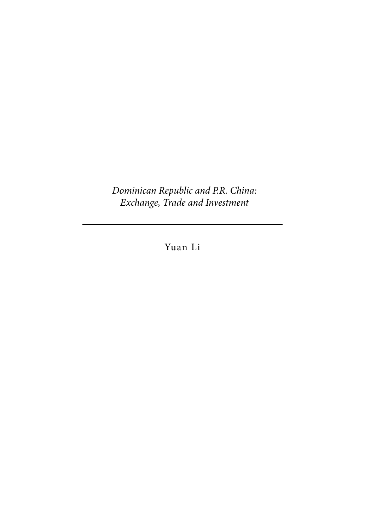*Dominican Republic and P.R. China: Exchange, Trade and Investment*

Yuan Li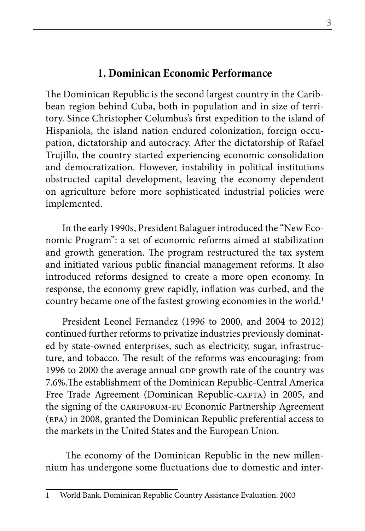#### **1. Dominican Economic Performance**

The Dominican Republic is the second largest country in the Caribbean region behind Cuba, both in population and in size of territory. Since Christopher Columbus's first expedition to the island of Hispaniola, the island nation endured colonization, foreign occupation, dictatorship and autocracy. After the dictatorship of Rafael Trujillo, the country started experiencing economic consolidation and democratization. However, instability in political institutions obstructed capital development, leaving the economy dependent on agriculture before more sophisticated industrial policies were implemented.

In the early 1990s, President Balaguer introduced the "New Economic Program": a set of economic reforms aimed at stabilization and growth generation. The program restructured the tax system and initiated various public financial management reforms. It also introduced reforms designed to create a more open economy. In response, the economy grew rapidly, inflation was curbed, and the country became one of the fastest growing economies in the world.<sup>1</sup>

President Leonel Fernandez (1996 to 2000, and 2004 to 2012) continued further reforms to privatize industries previously dominated by state-owned enterprises, such as electricity, sugar, infrastructure, and tobacco. The result of the reforms was encouraging: from 1996 to 2000 the average annual GDP growth rate of the country was 7.6%.The establishment of the Dominican Republic-Central America Free Trade Agreement (Dominican Republic-CAFTA) in 2005, and the signing of the CARIFORUM-EU Economic Partnership Agreement (epa) in 2008, granted the Dominican Republic preferential access to the markets in the United States and the European Union.

 The economy of the Dominican Republic in the new millennium has undergone some fluctuations due to domestic and inter-

<sup>1</sup> World Bank. Dominican Republic Country Assistance Evaluation. 2003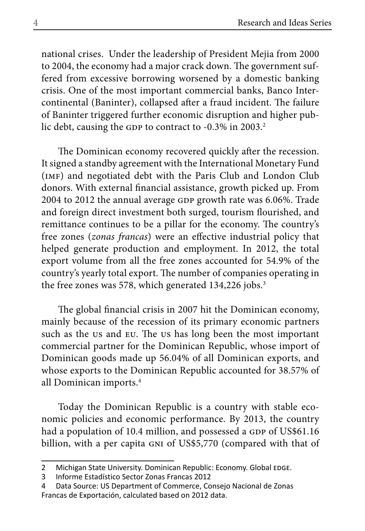national crises. Under the leadership of President Mejia from 2000 to 2004, the economy had a major crack down. The government suffered from excessive borrowing worsened by a domestic banking crisis. One of the most important commercial banks, Banco Intercontinental (Baninter), collapsed after a fraud incident. The failure of Baninter triggered further economic disruption and higher public debt, causing the GDP to contract to -0.3% in 2003.<sup>2</sup>

The Dominican economy recovered quickly after the recession. It signed a standby agreement with the International Monetary Fund (imf) and negotiated debt with the Paris Club and London Club donors. With external financial assistance, growth picked up. From 2004 to 2012 the annual average GDP growth rate was 6.06%. Trade and foreign direct investment both surged, tourism flourished, and remittance continues to be a pillar for the economy. The country's free zones (*zonas francas*) were an effective industrial policy that helped generate production and employment. In 2012, the total export volume from all the free zones accounted for 54.9% of the country's yearly total export. The number of companies operating in the free zones was 578, which generated 134,226 jobs.<sup>3</sup>

The global financial crisis in 2007 hit the Dominican economy, mainly because of the recession of its primary economic partners such as the us and eu. The us has long been the most important commercial partner for the Dominican Republic, whose import of Dominican goods made up 56.04% of all Dominican exports, and whose exports to the Dominican Republic accounted for 38.57% of all Dominican imports.4

Today the Dominican Republic is a country with stable economic policies and economic performance. By 2013, the country had a population of 10.4 million, and possessed a GDP of US\$61.16 billion, with a per capita GNI of US\$5,770 (compared with that of

<sup>2</sup> Michigan State University. Dominican Republic: Economy. Global EDGE.

<sup>3</sup> Informe Estadístico Sector Zonas Francas 2012

<sup>4</sup> Data Source: US Department of Commerce, Consejo Nacional de Zonas Francas de Exportación, calculated based on 2012 data.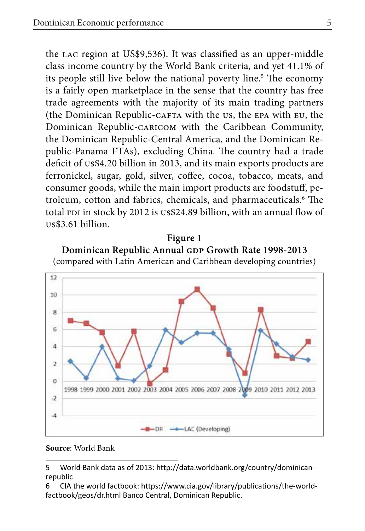the lac region at US\$9,536). It was classified as an upper-middle class income country by the World Bank criteria, and yet 41.1% of its people still live below the national poverty line.<sup>5</sup> The economy is a fairly open marketplace in the sense that the country has free trade agreements with the majority of its main trading partners (the Dominican Republic-cafta with the us, the epa with eu, the Dominican Republic-caricom with the Caribbean Community, the Dominican Republic-Central America, and the Dominican Republic-Panama FTAs), excluding China. The country had a trade deficit of us\$4.20 billion in 2013, and its main exports products are ferronickel, sugar, gold, silver, coffee, cocoa, tobacco, meats, and consumer goods, while the main import products are foodstuff, petroleum, cotton and fabrics, chemicals, and pharmaceuticals.<sup>6</sup> The total FDI in stock by 2012 is us\$24.89 billion, with an annual flow of us\$3.61 billion.

## **Figure 1** Dominican Republic Annual GDP Growth Rate 1998-2013





**Source**: World Bank

6 CIA the world factbook: https://www.cia.gov/library/publications/the-worldfactbook/geos/dr.html Banco Central, Dominican Republic.

<sup>5</sup> World Bank data as of 2013: http://data.worldbank.org/country/dominicanrepublic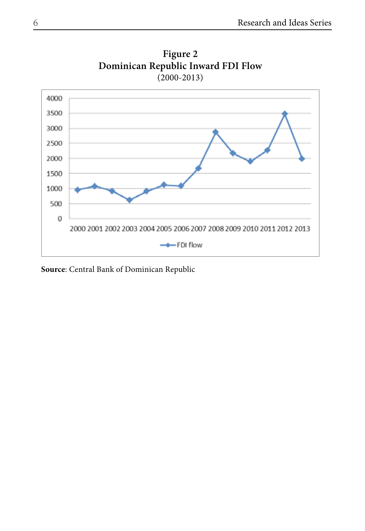

**Figure 2 Dominican Republic Inward FDI Flow**   $(2000 - 2013)$ 

**Source**: Central Bank of Dominican Republic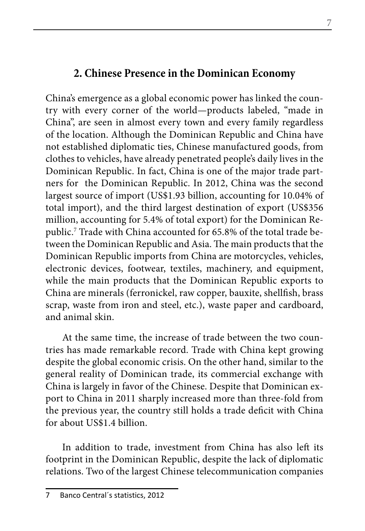# **2. Chinese Presence in the Dominican Economy**

China's emergence as a global economic power has linked the country with every corner of the world—products labeled, "made in China", are seen in almost every town and every family regardless of the location. Although the Dominican Republic and China have not established diplomatic ties, Chinese manufactured goods, from clothes to vehicles, have already penetrated people's daily lives in the Dominican Republic. In fact, China is one of the major trade partners for the Dominican Republic. In 2012, China was the second largest source of import (US\$1.93 billion, accounting for 10.04% of total import), and the third largest destination of export (US\$356 million, accounting for 5.4% of total export) for the Dominican Republic.7 Trade with China accounted for 65.8% of the total trade between the Dominican Republic and Asia. The main products that the Dominican Republic imports from China are motorcycles, vehicles, electronic devices, footwear, textiles, machinery, and equipment, while the main products that the Dominican Republic exports to China are minerals (ferronickel, raw copper, bauxite, shellfish, brass scrap, waste from iron and steel, etc.), waste paper and cardboard, and animal skin.

At the same time, the increase of trade between the two countries has made remarkable record. Trade with China kept growing despite the global economic crisis. On the other hand, similar to the general reality of Dominican trade, its commercial exchange with China is largely in favor of the Chinese. Despite that Dominican export to China in 2011 sharply increased more than three-fold from the previous year, the country still holds a trade deficit with China for about US\$1.4 billion.

In addition to trade, investment from China has also left its footprint in the Dominican Republic, despite the lack of diplomatic relations. Two of the largest Chinese telecommunication companies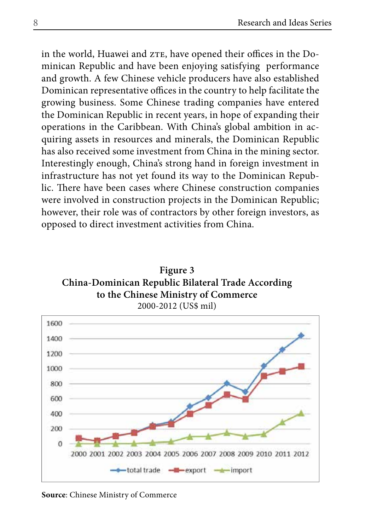in the world, Huawei and zTE, have opened their offices in the Dominican Republic and have been enjoying satisfying performance and growth. A few Chinese vehicle producers have also established Dominican representative offices in the country to help facilitate the growing business. Some Chinese trading companies have entered the Dominican Republic in recent years, in hope of expanding their operations in the Caribbean. With China's global ambition in acquiring assets in resources and minerals, the Dominican Republic has also received some investment from China in the mining sector. Interestingly enough, China's strong hand in foreign investment in infrastructure has not yet found its way to the Dominican Republic. There have been cases where Chinese construction companies were involved in construction projects in the Dominican Republic; however, their role was of contractors by other foreign investors, as opposed to direct investment activities from China.





**Source**: Chinese Ministry of Commerce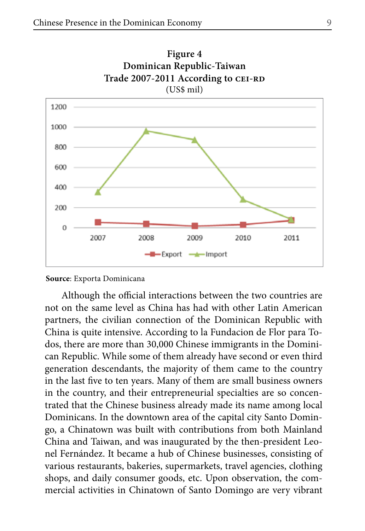

**Source**: Exporta Dominicana

Although the official interactions between the two countries are not on the same level as China has had with other Latin American partners, the civilian connection of the Dominican Republic with China is quite intensive. According to la Fundacion de Flor para Todos, there are more than 30,000 Chinese immigrants in the Dominican Republic. While some of them already have second or even third generation descendants, the majority of them came to the country in the last five to ten years. Many of them are small business owners in the country, and their entrepreneurial specialties are so concentrated that the Chinese business already made its name among local Dominicans. In the downtown area of the capital city Santo Domingo, a Chinatown was built with contributions from both Mainland China and Taiwan, and was inaugurated by the then-president Leonel Fernández. It became a hub of Chinese businesses, consisting of various restaurants, bakeries, supermarkets, travel agencies, clothing shops, and daily consumer goods, etc. Upon observation, the commercial activities in Chinatown of Santo Domingo are very vibrant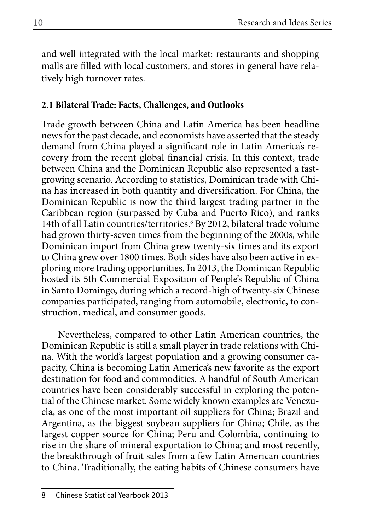and well integrated with the local market: restaurants and shopping malls are filled with local customers, and stores in general have relatively high turnover rates.

#### **2.1 Bilateral Trade: Facts, Challenges, and Outlooks**

Trade growth between China and Latin America has been headline news for the past decade, and economists have asserted that the steady demand from China played a significant role in Latin America's recovery from the recent global financial crisis. In this context, trade between China and the Dominican Republic also represented a fastgrowing scenario. According to statistics, Dominican trade with China has increased in both quantity and diversification. For China, the Dominican Republic is now the third largest trading partner in the Caribbean region (surpassed by Cuba and Puerto Rico), and ranks 14th of all Latin countries/territories.<sup>8</sup> By 2012, bilateral trade volume had grown thirty-seven times from the beginning of the 2000s, while Dominican import from China grew twenty-six times and its export to China grew over 1800 times. Both sides have also been active in exploring more trading opportunities. In 2013, the Dominican Republic hosted its 5th Commercial Exposition of People's Republic of China in Santo Domingo, during which a record-high of twenty-six Chinese companies participated, ranging from automobile, electronic, to construction, medical, and consumer goods.

Nevertheless, compared to other Latin American countries, the Dominican Republic is still a small player in trade relations with China. With the world's largest population and a growing consumer capacity, China is becoming Latin America's new favorite as the export destination for food and commodities. A handful of South American countries have been considerably successful in exploring the potential of the Chinese market. Some widely known examples are Venezuela, as one of the most important oil suppliers for China; Brazil and Argentina, as the biggest soybean suppliers for China; Chile, as the largest copper source for China; Peru and Colombia, continuing to rise in the share of mineral exportation to China; and most recently, the breakthrough of fruit sales from a few Latin American countries to China. Traditionally, the eating habits of Chinese consumers have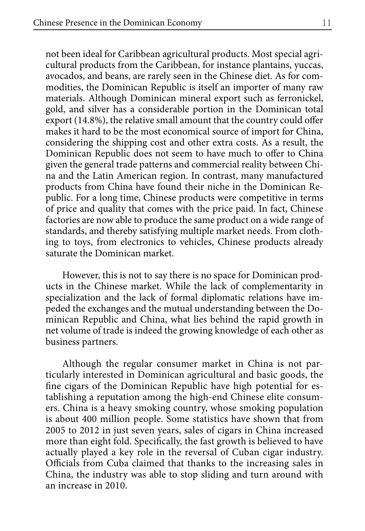not been ideal for Caribbean agricultural products. Most special agricultural products from the Caribbean, for instance plantains, yuccas, avocados, and beans, are rarely seen in the Chinese diet. As for commodities, the Dominican Republic is itself an importer of many raw materials. Although Dominican mineral export such as ferronickel, gold, and silver has a considerable portion in the Dominican total export (14.8%), the relative small amount that the country could offer makes it hard to be the most economical source of import for China, considering the shipping cost and other extra costs. As a result, the Dominican Republic does not seem to have much to offer to China given the general trade patterns and commercial reality between China and the Latin American region. In contrast, many manufactured products from China have found their niche in the Dominican Republic. For a long time, Chinese products were competitive in terms of price and quality that comes with the price paid. In fact, Chinese factories are now able to produce the same product on a wide range of standards, and thereby satisfying multiple market needs. From clothing to toys, from electronics to vehicles, Chinese products already saturate the Dominican market.

However, this is not to say there is no space for Dominican products in the Chinese market. While the lack of complementarity in specialization and the lack of formal diplomatic relations have impeded the exchanges and the mutual understanding between the Dominican Republic and China, what lies behind the rapid growth in net volume of trade is indeed the growing knowledge of each other as business partners.

Although the regular consumer market in China is not particularly interested in Dominican agricultural and basic goods, the fine cigars of the Dominican Republic have high potential for establishing a reputation among the high-end Chinese elite consumers. China is a heavy smoking country, whose smoking population is about 400 million people. Some statistics have shown that from 2005 to 2012 in just seven years, sales of cigars in China increased more than eight fold. Specifically, the fast growth is believed to have actually played a key role in the reversal of Cuban cigar industry. Officials from Cuba claimed that thanks to the increasing sales in China, the industry was able to stop sliding and turn around with an increase in 2010.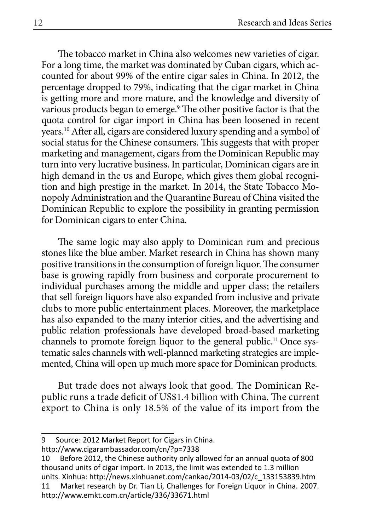The tobacco market in China also welcomes new varieties of cigar. For a long time, the market was dominated by Cuban cigars, which accounted for about 99% of the entire cigar sales in China. In 2012, the percentage dropped to 79%, indicating that the cigar market in China is getting more and more mature, and the knowledge and diversity of various products began to emerge.9 The other positive factor is that the quota control for cigar import in China has been loosened in recent years.10 After all, cigars are considered luxury spending and a symbol of social status for the Chinese consumers. This suggests that with proper marketing and management, cigars from the Dominican Republic may turn into very lucrative business. In particular, Dominican cigars are in high demand in the us and Europe, which gives them global recognition and high prestige in the market. In 2014, the State Tobacco Monopoly Administration and the Quarantine Bureau of China visited the Dominican Republic to explore the possibility in granting permission for Dominican cigars to enter China.

The same logic may also apply to Dominican rum and precious stones like the blue amber. Market research in China has shown many positive transitions in the consumption of foreign liquor. The consumer base is growing rapidly from business and corporate procurement to individual purchases among the middle and upper class; the retailers that sell foreign liquors have also expanded from inclusive and private clubs to more public entertainment places. Moreover, the marketplace has also expanded to the many interior cities, and the advertising and public relation professionals have developed broad-based marketing channels to promote foreign liquor to the general public.<sup>11</sup> Once systematic sales channels with well-planned marketing strategies are implemented, China will open up much more space for Dominican products.

But trade does not always look that good. The Dominican Republic runs a trade deficit of US\$1.4 billion with China. The current export to China is only 18.5% of the value of its import from the

10 Before 2012, the Chinese authority only allowed for an annual quota of 800 thousand units of cigar import. In 2013, the limit was extended to 1.3 million units. Xinhua: http://news.xinhuanet.com/cankao/2014-03/02/c\_133153839.htm 11 Market research by Dr. Tian Li, Challenges for Foreign Liquor in China. 2007. http://www.emkt.com.cn/article/336/33671.html

<sup>9</sup> Source: 2012 Market Report for Cigars in China.

http://www.cigarambassador.com/cn/?p=7338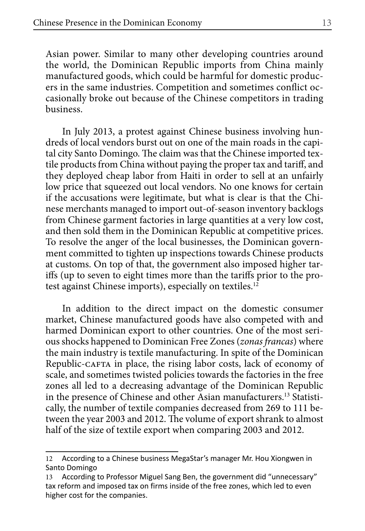Asian power. Similar to many other developing countries around the world, the Dominican Republic imports from China mainly manufactured goods, which could be harmful for domestic producers in the same industries. Competition and sometimes conflict occasionally broke out because of the Chinese competitors in trading business.

In July 2013, a protest against Chinese business involving hundreds of local vendors burst out on one of the main roads in the capital city Santo Domingo. The claim was that the Chinese imported textile products from China without paying the proper tax and tariff, and they deployed cheap labor from Haiti in order to sell at an unfairly low price that squeezed out local vendors. No one knows for certain if the accusations were legitimate, but what is clear is that the Chinese merchants managed to import out-of-season inventory backlogs from Chinese garment factories in large quantities at a very low cost, and then sold them in the Dominican Republic at competitive prices. To resolve the anger of the local businesses, the Dominican government committed to tighten up inspections towards Chinese products at customs. On top of that, the government also imposed higher tariffs (up to seven to eight times more than the tariffs prior to the protest against Chinese imports), especially on textiles.<sup>12</sup>

In addition to the direct impact on the domestic consumer market, Chinese manufactured goods have also competed with and harmed Dominican export to other countries. One of the most serious shocks happened to Dominican Free Zones (*zonas francas*) where the main industry is textile manufacturing. In spite of the Dominican Republic-CAFTA in place, the rising labor costs, lack of economy of scale, and sometimes twisted policies towards the factories in the free zones all led to a decreasing advantage of the Dominican Republic in the presence of Chinese and other Asian manufacturers.13 Statistically, the number of textile companies decreased from 269 to 111 between the year 2003 and 2012. The volume of export shrank to almost half of the size of textile export when comparing 2003 and 2012.

<sup>12</sup> According to a Chinese business MegaStar's manager Mr. Hou Xiongwen in Santo Domingo

<sup>13</sup> According to Professor Miguel Sang Ben, the government did "unnecessary" tax reform and imposed tax on firms inside of the free zones, which led to even higher cost for the companies.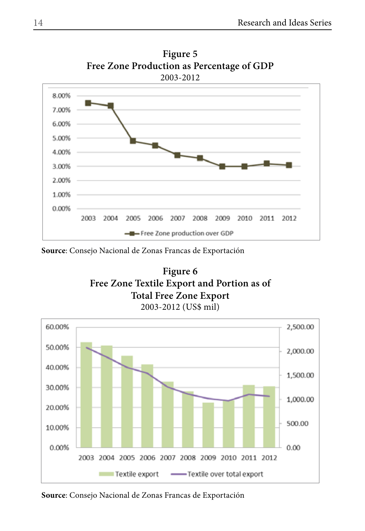

**Figure 5 Free Zone Production as Percentage of GDP**  2003-2012

**Source**: Consejo Nacional de Zonas Francas de Exportación





**Source**: Consejo Nacional de Zonas Francas de Exportación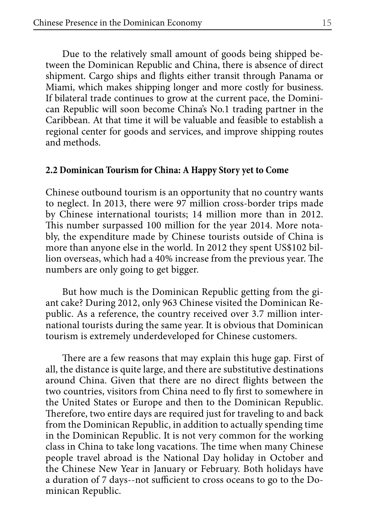Due to the relatively small amount of goods being shipped between the Dominican Republic and China, there is absence of direct shipment. Cargo ships and flights either transit through Panama or Miami, which makes shipping longer and more costly for business. If bilateral trade continues to grow at the current pace, the Dominican Republic will soon become China's No.1 trading partner in the Caribbean. At that time it will be valuable and feasible to establish a regional center for goods and services, and improve shipping routes and methods.

#### **2.2 Dominican Tourism for China: A Happy Story yet to Come**

Chinese outbound tourism is an opportunity that no country wants to neglect. In 2013, there were 97 million cross-border trips made by Chinese international tourists; 14 million more than in 2012. This number surpassed 100 million for the year 2014. More notably, the expenditure made by Chinese tourists outside of China is more than anyone else in the world. In 2012 they spent US\$102 billion overseas, which had a 40% increase from the previous year. The numbers are only going to get bigger.

But how much is the Dominican Republic getting from the giant cake? During 2012, only 963 Chinese visited the Dominican Republic. As a reference, the country received over 3.7 million international tourists during the same year. It is obvious that Dominican tourism is extremely underdeveloped for Chinese customers.

There are a few reasons that may explain this huge gap. First of all, the distance is quite large, and there are substitutive destinations around China. Given that there are no direct flights between the two countries, visitors from China need to fly first to somewhere in the United States or Europe and then to the Dominican Republic. Therefore, two entire days are required just for traveling to and back from the Dominican Republic, in addition to actually spending time in the Dominican Republic. It is not very common for the working class in China to take long vacations. The time when many Chinese people travel abroad is the National Day holiday in October and the Chinese New Year in January or February. Both holidays have a duration of 7 days--not sufficient to cross oceans to go to the Dominican Republic.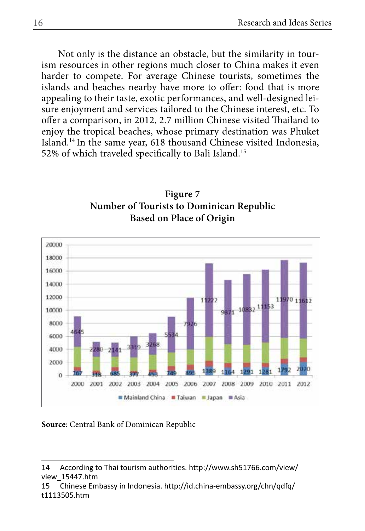Not only is the distance an obstacle, but the similarity in tourism resources in other regions much closer to China makes it even harder to compete. For average Chinese tourists, sometimes the islands and beaches nearby have more to offer: food that is more appealing to their taste, exotic performances, and well-designed leisure enjoyment and services tailored to the Chinese interest, etc. To offer a comparison, in 2012, 2.7 million Chinese visited Thailand to enjoy the tropical beaches, whose primary destination was Phuket Island.14 In the same year, 618 thousand Chinese visited Indonesia, 52% of which traveled specifically to Bali Island.15





#### **Source**: Central Bank of Dominican Republic

<sup>14</sup> According to Thai tourism authorities. http://www.sh51766.com/view/ view\_15447.htm

<sup>15</sup> Chinese Embassy in Indonesia. http://id.china-embassy.org/chn/qdfq/ t1113505.htm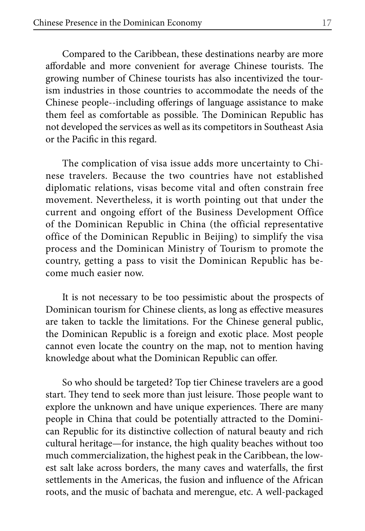Compared to the Caribbean, these destinations nearby are more affordable and more convenient for average Chinese tourists. The growing number of Chinese tourists has also incentivized the tourism industries in those countries to accommodate the needs of the Chinese people--including offerings of language assistance to make them feel as comfortable as possible. The Dominican Republic has not developed the services as well as its competitors in Southeast Asia or the Pacific in this regard.

The complication of visa issue adds more uncertainty to Chinese travelers. Because the two countries have not established diplomatic relations, visas become vital and often constrain free movement. Nevertheless, it is worth pointing out that under the current and ongoing effort of the Business Development Office of the Dominican Republic in China (the official representative office of the Dominican Republic in Beijing) to simplify the visa process and the Dominican Ministry of Tourism to promote the country, getting a pass to visit the Dominican Republic has become much easier now.

It is not necessary to be too pessimistic about the prospects of Dominican tourism for Chinese clients, as long as effective measures are taken to tackle the limitations. For the Chinese general public, the Dominican Republic is a foreign and exotic place. Most people cannot even locate the country on the map, not to mention having knowledge about what the Dominican Republic can offer.

So who should be targeted? Top tier Chinese travelers are a good start. They tend to seek more than just leisure. Those people want to explore the unknown and have unique experiences. There are many people in China that could be potentially attracted to the Dominican Republic for its distinctive collection of natural beauty and rich cultural heritage—for instance, the high quality beaches without too much commercialization, the highest peak in the Caribbean, the lowest salt lake across borders, the many caves and waterfalls, the first settlements in the Americas, the fusion and influence of the African roots, and the music of bachata and merengue, etc. A well-packaged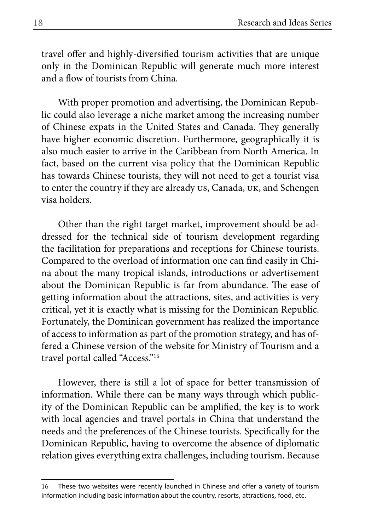travel offer and highly-diversified tourism activities that are unique only in the Dominican Republic will generate much more interest and a flow of tourists from China.

With proper promotion and advertising, the Dominican Republic could also leverage a niche market among the increasing number of Chinese expats in the United States and Canada. They generally have higher economic discretion. Furthermore, geographically it is also much easier to arrive in the Caribbean from North America. In fact, based on the current visa policy that the Dominican Republic has towards Chinese tourists, they will not need to get a tourist visa to enter the country if they are already us, Canada, uk, and Schengen visa holders.

Other than the right target market, improvement should be addressed for the technical side of tourism development regarding the facilitation for preparations and receptions for Chinese tourists. Compared to the overload of information one can find easily in China about the many tropical islands, introductions or advertisement about the Dominican Republic is far from abundance. The ease of getting information about the attractions, sites, and activities is very critical, yet it is exactly what is missing for the Dominican Republic. Fortunately, the Dominican government has realized the importance of access to information as part of the promotion strategy, and has offered a Chinese version of the website for Ministry of Tourism and a travel portal called "Access."16

However, there is still a lot of space for better transmission of information. While there can be many ways through which publicity of the Dominican Republic can be amplified, the key is to work with local agencies and travel portals in China that understand the needs and the preferences of the Chinese tourists. Specifically for the Dominican Republic, having to overcome the absence of diplomatic relation gives everything extra challenges, including tourism. Because

<sup>16</sup> These two websites were recently launched in Chinese and offer a variety of tourism information including basic information about the country, resorts, attractions, food, etc.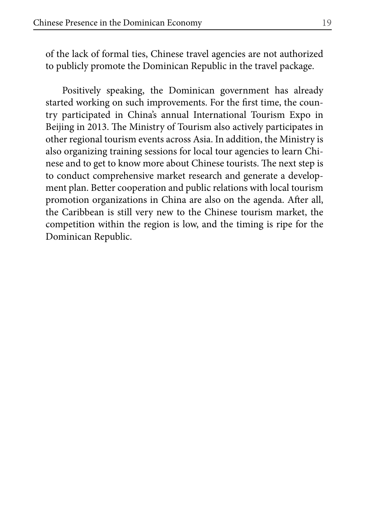of the lack of formal ties, Chinese travel agencies are not authorized to publicly promote the Dominican Republic in the travel package.

Positively speaking, the Dominican government has already started working on such improvements. For the first time, the country participated in China's annual International Tourism Expo in Beijing in 2013. The Ministry of Tourism also actively participates in other regional tourism events across Asia. In addition, the Ministry is also organizing training sessions for local tour agencies to learn Chinese and to get to know more about Chinese tourists. The next step is to conduct comprehensive market research and generate a development plan. Better cooperation and public relations with local tourism promotion organizations in China are also on the agenda. After all, the Caribbean is still very new to the Chinese tourism market, the competition within the region is low, and the timing is ripe for the Dominican Republic.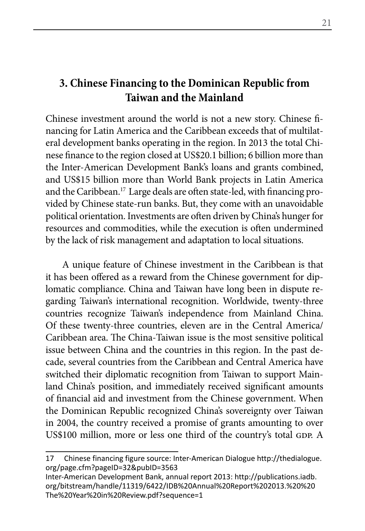## **3. Chinese Financing to the Dominican Republic from Taiwan and the Mainland**

Chinese investment around the world is not a new story. Chinese financing for Latin America and the Caribbean exceeds that of multilateral development banks operating in the region. In 2013 the total Chinese finance to the region closed at US\$20.1 billion; 6 billion more than the Inter-American Development Bank's loans and grants combined, and US\$15 billion more than World Bank projects in Latin America and the Caribbean.17 Large deals are often state-led, with financing provided by Chinese state-run banks. But, they come with an unavoidable political orientation. Investments are often driven by China's hunger for resources and commodities, while the execution is often undermined by the lack of risk management and adaptation to local situations.

A unique feature of Chinese investment in the Caribbean is that it has been offered as a reward from the Chinese government for diplomatic compliance. China and Taiwan have long been in dispute regarding Taiwan's international recognition. Worldwide, twenty-three countries recognize Taiwan's independence from Mainland China. Of these twenty-three countries, eleven are in the Central America/ Caribbean area. The China-Taiwan issue is the most sensitive political issue between China and the countries in this region. In the past decade, several countries from the Caribbean and Central America have switched their diplomatic recognition from Taiwan to support Mainland China's position, and immediately received significant amounts of financial aid and investment from the Chinese government. When the Dominican Republic recognized China's sovereignty over Taiwan in 2004, the country received a promise of grants amounting to over US\$100 million, more or less one third of the country's total GDP. A

<sup>17</sup> Chinese financing figure source: Inter-American Dialogue http://thedialogue. org/page.cfm?pageID=32&pubID=3563

Inter-American Development Bank, annual report 2013: http://publications.iadb. org/bitstream/handle/11319/6422/IDB%20Annual%20Report%202013.%20%20 The%20Year%20in%20Review.pdf?sequence=1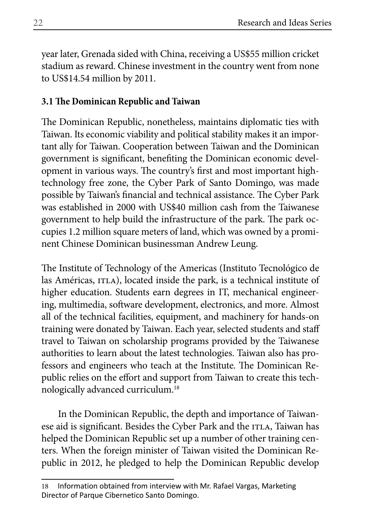year later, Grenada sided with China, receiving a US\$55 million cricket stadium as reward. Chinese investment in the country went from none to US\$14.54 million by 2011.

#### **3.1 The Dominican Republic and Taiwan**

The Dominican Republic, nonetheless, maintains diplomatic ties with Taiwan. Its economic viability and political stability makes it an important ally for Taiwan. Cooperation between Taiwan and the Dominican government is significant, benefiting the Dominican economic development in various ways. The country's first and most important hightechnology free zone, the Cyber Park of Santo Domingo, was made possible by Taiwan's financial and technical assistance. The Cyber Park was established in 2000 with US\$40 million cash from the Taiwanese government to help build the infrastructure of the park. The park occupies 1.2 million square meters of land, which was owned by a prominent Chinese Dominican businessman Andrew Leung.

The Institute of Technology of the Americas (Instituto Tecnológico de las Américas, ITLA), located inside the park, is a technical institute of higher education. Students earn degrees in IT, mechanical engineering, multimedia, software development, electronics, and more. Almost all of the technical facilities, equipment, and machinery for hands-on training were donated by Taiwan. Each year, selected students and staff travel to Taiwan on scholarship programs provided by the Taiwanese authorities to learn about the latest technologies. Taiwan also has professors and engineers who teach at the Institute. The Dominican Republic relies on the effort and support from Taiwan to create this technologically advanced curriculum.18

In the Dominican Republic, the depth and importance of Taiwanese aid is significant. Besides the Cyber Park and the ITLA, Taiwan has helped the Dominican Republic set up a number of other training centers. When the foreign minister of Taiwan visited the Dominican Republic in 2012, he pledged to help the Dominican Republic develop

<sup>18</sup> Information obtained from interview with Mr. Rafael Vargas, Marketing Director of Parque Cibernetico Santo Domingo.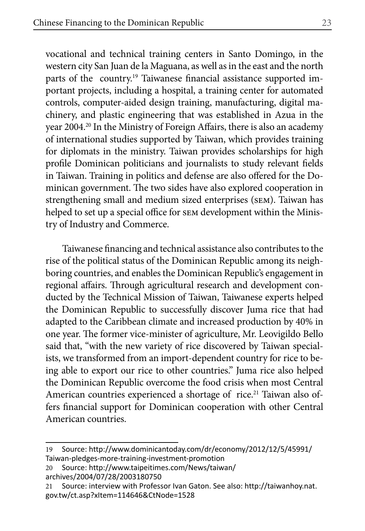vocational and technical training centers in Santo Domingo, in the western city San Juan de la Maguana, as well as in the east and the north parts of the country.19 Taiwanese financial assistance supported important projects, including a hospital, a training center for automated controls, computer-aided design training, manufacturing, digital machinery, and plastic engineering that was established in Azua in the year 2004.<sup>20</sup> In the Ministry of Foreign Affairs, there is also an academy of international studies supported by Taiwan, which provides training for diplomats in the ministry. Taiwan provides scholarships for high profile Dominican politicians and journalists to study relevant fields in Taiwan. Training in politics and defense are also offered for the Dominican government. The two sides have also explored cooperation in strengthening small and medium sized enterprises (sem). Taiwan has helped to set up a special office for sem development within the Ministry of Industry and Commerce.

Taiwanese financing and technical assistance also contributes to the rise of the political status of the Dominican Republic among its neighboring countries, and enables the Dominican Republic's engagement in regional affairs. Through agricultural research and development conducted by the Technical Mission of Taiwan, Taiwanese experts helped the Dominican Republic to successfully discover Juma rice that had adapted to the Caribbean climate and increased production by 40% in one year. The former vice-minister of agriculture, Mr. Leovigildo Bello said that, "with the new variety of rice discovered by Taiwan specialists, we transformed from an import-dependent country for rice to being able to export our rice to other countries." Juma rice also helped the Dominican Republic overcome the food crisis when most Central American countries experienced a shortage of rice.<sup>21</sup> Taiwan also offers financial support for Dominican cooperation with other Central American countries.

<sup>19</sup> Source: http://www.dominicantoday.com/dr/economy/2012/12/5/45991/ Taiwan-pledges-more-training-investment-promotion

<sup>20</sup> Source: http://www.taipeitimes.com/News/taiwan/ archives/2004/07/28/2003180750

<sup>21</sup> Source: interview with Professor Ivan Gaton. See also: http://taiwanhoy.nat. gov.tw/ct.asp?xItem=114646&CtNode=1528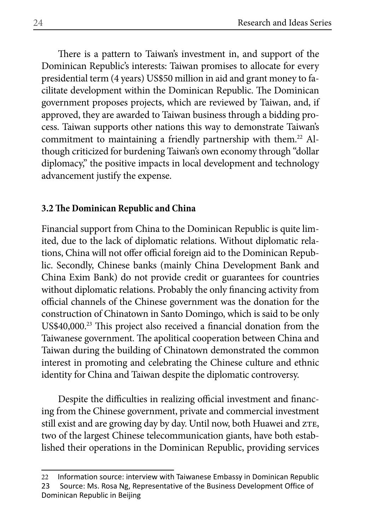There is a pattern to Taiwan's investment in, and support of the Dominican Republic's interests: Taiwan promises to allocate for every presidential term (4 years) US\$50 million in aid and grant money to facilitate development within the Dominican Republic. The Dominican government proposes projects, which are reviewed by Taiwan, and, if approved, they are awarded to Taiwan business through a bidding process. Taiwan supports other nations this way to demonstrate Taiwan's commitment to maintaining a friendly partnership with them.<sup>22</sup> Although criticized for burdening Taiwan's own economy through "dollar diplomacy," the positive impacts in local development and technology advancement justify the expense.

#### **3.2 The Dominican Republic and China**

Financial support from China to the Dominican Republic is quite limited, due to the lack of diplomatic relations. Without diplomatic relations, China will not offer official foreign aid to the Dominican Republic. Secondly, Chinese banks (mainly China Development Bank and China Exim Bank) do not provide credit or guarantees for countries without diplomatic relations. Probably the only financing activity from official channels of the Chinese government was the donation for the construction of Chinatown in Santo Domingo, which is said to be only US\$40,000.<sup>23</sup> This project also received a financial donation from the Taiwanese government. The apolitical cooperation between China and Taiwan during the building of Chinatown demonstrated the common interest in promoting and celebrating the Chinese culture and ethnic identity for China and Taiwan despite the diplomatic controversy.

Despite the difficulties in realizing official investment and financing from the Chinese government, private and commercial investment still exist and are growing day by day. Until now, both Huawei and ZTE, two of the largest Chinese telecommunication giants, have both established their operations in the Dominican Republic, providing services

<sup>22</sup> Information source: interview with Taiwanese Embassy in Dominican Republic 23 Source: Ms. Rosa Ng, Representative of the Business Development Office of Dominican Republic in Beijing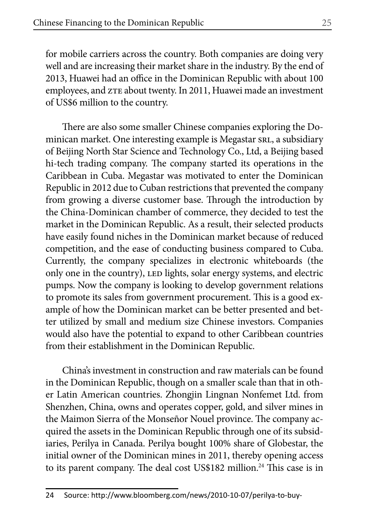for mobile carriers across the country. Both companies are doing very well and are increasing their market share in the industry. By the end of 2013, Huawei had an office in the Dominican Republic with about 100 employees, and ZTE about twenty. In 2011, Huawei made an investment of US\$6 million to the country.

There are also some smaller Chinese companies exploring the Dominican market. One interesting example is Megastar srl, a subsidiary of Beijing North Star Science and Technology Co., Ltd, a Beijing based hi-tech trading company. The company started its operations in the Caribbean in Cuba. Megastar was motivated to enter the Dominican Republic in 2012 due to Cuban restrictions that prevented the company from growing a diverse customer base. Through the introduction by the China-Dominican chamber of commerce, they decided to test the market in the Dominican Republic. As a result, their selected products have easily found niches in the Dominican market because of reduced competition, and the ease of conducting business compared to Cuba. Currently, the company specializes in electronic whiteboards (the only one in the country), LED lights, solar energy systems, and electric pumps. Now the company is looking to develop government relations to promote its sales from government procurement. This is a good example of how the Dominican market can be better presented and better utilized by small and medium size Chinese investors. Companies would also have the potential to expand to other Caribbean countries from their establishment in the Dominican Republic.

China's investment in construction and raw materials can be found in the Dominican Republic, though on a smaller scale than that in other Latin American countries. Zhongjin Lingnan Nonfemet Ltd. from Shenzhen, China, owns and operates copper, gold, and silver mines in the Maimon Sierra of the Monseñor Nouel province. The company acquired the assets in the Dominican Republic through one of its subsidiaries, Perilya in Canada. Perilya bought 100% share of Globestar, the initial owner of the Dominican mines in 2011, thereby opening access to its parent company. The deal cost US\$182 million.<sup>24</sup> This case is in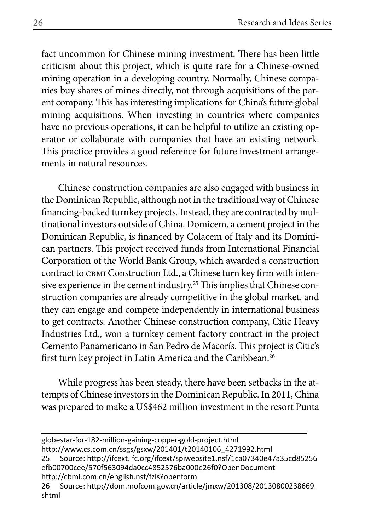fact uncommon for Chinese mining investment. There has been little criticism about this project, which is quite rare for a Chinese-owned mining operation in a developing country. Normally, Chinese companies buy shares of mines directly, not through acquisitions of the parent company. This has interesting implications for China's future global mining acquisitions. When investing in countries where companies have no previous operations, it can be helpful to utilize an existing operator or collaborate with companies that have an existing network. This practice provides a good reference for future investment arrangements in natural resources.

Chinese construction companies are also engaged with business in the Dominican Republic, although not in the traditional way of Chinese financing-backed turnkey projects. Instead, they are contracted by multinational investors outside of China. Domicem, a cement project in the Dominican Republic, is financed by Colacem of Italy and its Dominican partners. This project received funds from International Financial Corporation of the World Bank Group, which awarded a construction contract to СВМІ Construction Ltd., а Chinese turn key firm with intensive experience in the cement industry.<sup>25</sup> This implies that Chinese construction companies are already competitive in the global market, and they can engage and compete independently in international business to get contracts. Another Chinese construction company, Citic Heavy Industries Ltd., won a turnkey cement factory contract in the project Cemento Panamericano in San Pedro de Macorís. This project is Citic's first turn key project in Latin America and the Caribbean.26

While progress has been steady, there have been setbacks in the attempts of Chinese investors in the Dominican Republic. In 2011, China was prepared to make a US\$462 million investment in the resort Punta

globestar-for-182-million-gaining-copper-gold-project.html http://www.cs.com.cn/ssgs/gsxw/201401/t20140106\_4271992.html

25 Source: http://ifcext.ifc.org/ifcext/spiwebsite1.nsf/1ca07340e47a35cd85256 efb00700cee/570f563094da0cc4852576ba000e26f0?OpenDocument http://cbmi.com.cn/english.nsf/fzls?openform

26 Source: http://dom.mofcom.gov.cn/article/jmxw/201308/20130800238669. shtml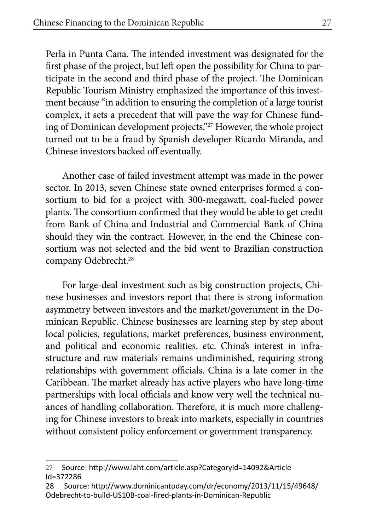Perla in Punta Cana. The intended investment was designated for the first phase of the project, but left open the possibility for China to participate in the second and third phase of the project. The Dominican Republic Tourism Ministry emphasized the importance of this investment because "in addition to ensuring the completion of a large tourist complex, it sets a precedent that will pave the way for Chinese funding of Dominican development projects."27 However, the whole project turned out to be a fraud by Spanish developer Ricardo Miranda, and Chinese investors backed off eventually.

Another case of failed investment attempt was made in the power sector. In 2013, seven Chinese state owned enterprises formed a consortium to bid for a project with 300-megawatt, coal-fueled power plants. The consortium confirmed that they would be able to get credit from Bank of China and Industrial and Commercial Bank of China should they win the contract. However, in the end the Chinese consortium was not selected and the bid went to Brazilian construction company Odebrecht.<sup>28</sup>

For large-deal investment such as big construction projects, Chinese businesses and investors report that there is strong information asymmetry between investors and the market/government in the Dominican Republic. Chinese businesses are learning step by step about local policies, regulations, market preferences, business environment, and political and economic realities, etc. China's interest in infrastructure and raw materials remains undiminished, requiring strong relationships with government officials. China is a late comer in the Caribbean. The market already has active players who have long-time partnerships with local officials and know very well the technical nuances of handling collaboration. Therefore, it is much more challenging for Chinese investors to break into markets, especially in countries without consistent policy enforcement or government transparency.

<sup>27</sup> Source: http://www.laht.com/article.asp?CategoryId=14092&Article Id=372286

<sup>28</sup> Source: http://www.dominicantoday.com/dr/economy/2013/11/15/49648/ Odebrecht-to-build-US10B-coal-fired-plants-in-Dominican-Republic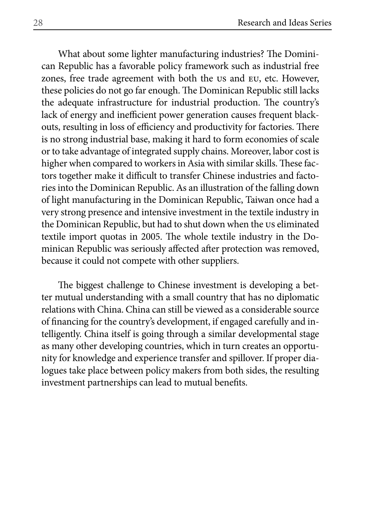What about some lighter manufacturing industries? The Dominican Republic has a favorable policy framework such as industrial free zones, free trade agreement with both the us and eu, etc. However, these policies do not go far enough. The Dominican Republic still lacks the adequate infrastructure for industrial production. The country's lack of energy and inefficient power generation causes frequent blackouts, resulting in loss of efficiency and productivity for factories. There is no strong industrial base, making it hard to form economies of scale or to take advantage of integrated supply chains. Moreover, labor cost is higher when compared to workers in Asia with similar skills. These factors together make it difficult to transfer Chinese industries and factories into the Dominican Republic. As an illustration of the falling down of light manufacturing in the Dominican Republic, Taiwan once had a very strong presence and intensive investment in the textile industry in the Dominican Republic, but had to shut down when the us eliminated textile import quotas in 2005. The whole textile industry in the Dominican Republic was seriously affected after protection was removed, because it could not compete with other suppliers.

The biggest challenge to Chinese investment is developing a better mutual understanding with a small country that has no diplomatic relations with China. China can still be viewed as a considerable source of financing for the country's development, if engaged carefully and intelligently. China itself is going through a similar developmental stage as many other developing countries, which in turn creates an opportunity for knowledge and experience transfer and spillover. If proper dialogues take place between policy makers from both sides, the resulting investment partnerships can lead to mutual benefits.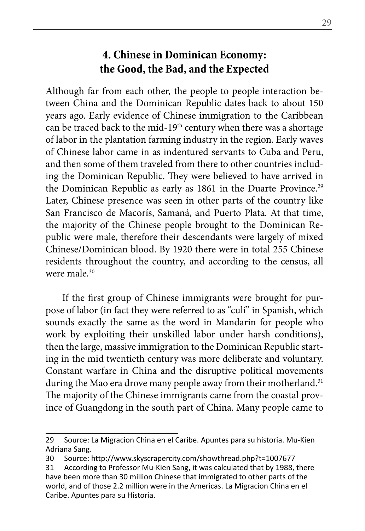## **4. Chinese in Dominican Economy: the Good, the Bad, and the Expected**

Although far from each other, the people to people interaction between China and the Dominican Republic dates back to about 150 years ago. Early evidence of Chinese immigration to the Caribbean can be traced back to the mid-19<sup>th</sup> century when there was a shortage of labor in the plantation farming industry in the region. Early waves of Chinese labor came in as indentured servants to Cuba and Peru, and then some of them traveled from there to other countries including the Dominican Republic. They were believed to have arrived in the Dominican Republic as early as 1861 in the Duarte Province.<sup>29</sup> Later, Chinese presence was seen in other parts of the country like San Francisco de Macorís, Samaná, and Puerto Plata. At that time, the majority of the Chinese people brought to the Dominican Republic were male, therefore their descendants were largely of mixed Chinese/Dominican blood. By 1920 there were in total 255 Chinese residents throughout the country, and according to the census, all were male  $30$ 

If the first group of Chinese immigrants were brought for purpose of labor (in fact they were referred to as "culí" in Spanish, which sounds exactly the same as the word in Mandarin for people who work by exploiting their unskilled labor under harsh conditions), then the large, massive immigration to the Dominican Republic starting in the mid twentieth century was more deliberate and voluntary. Constant warfare in China and the disruptive political movements during the Mao era drove many people away from their motherland.<sup>31</sup> The majority of the Chinese immigrants came from the coastal province of Guangdong in the south part of China. Many people came to

<sup>29</sup> Source: La Migracion China en el Caribe. Apuntes para su historia. Mu-Kien Adriana Sang.

<sup>30</sup> Source: http://www.skyscrapercity.com/showthread.php?t=1007677

<sup>31</sup> According to Professor Mu-Kien Sang, it was calculated that by 1988, there have been more than 30 million Chinese that immigrated to other parts of the world, and of those 2.2 million were in the Americas. La Migracion China en el Caribe. Apuntes para su Historia.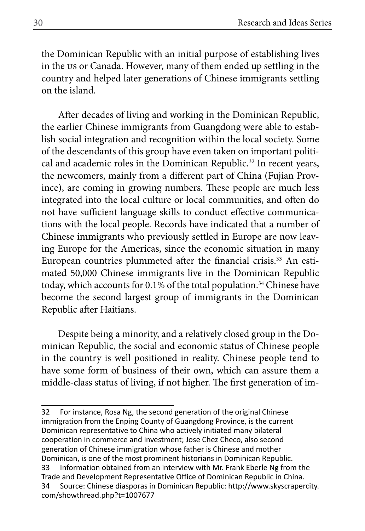the Dominican Republic with an initial purpose of establishing lives in the us or Canada. However, many of them ended up settling in the country and helped later generations of Chinese immigrants settling on the island.

After decades of living and working in the Dominican Republic, the earlier Chinese immigrants from Guangdong were able to establish social integration and recognition within the local society. Some of the descendants of this group have even taken on important political and academic roles in the Dominican Republic.<sup>32</sup> In recent years, the newcomers, mainly from a different part of China (Fujian Province), are coming in growing numbers. These people are much less integrated into the local culture or local communities, and often do not have sufficient language skills to conduct effective communications with the local people. Records have indicated that a number of Chinese immigrants who previously settled in Europe are now leaving Europe for the Americas, since the economic situation in many European countries plummeted after the financial crisis.<sup>33</sup> An estimated 50,000 Chinese immigrants live in the Dominican Republic today, which accounts for 0.1% of the total population.<sup>34</sup> Chinese have become the second largest group of immigrants in the Dominican Republic after Haitians.

Despite being a minority, and a relatively closed group in the Dominican Republic, the social and economic status of Chinese people in the country is well positioned in reality. Chinese people tend to have some form of business of their own, which can assure them a middle-class status of living, if not higher. The first generation of im-

<sup>32</sup> For instance, Rosa Ng, the second generation of the original Chinese immigration from the Enping County of Guangdong Province, is the current Dominican representative to China who actively initiated many bilateral cooperation in commerce and investment; Jose Chez Checo, also second generation of Chinese immigration whose father is Chinese and mother Dominican, is one of the most prominent historians in Dominican Republic. 33 Information obtained from an interview with Mr. Frank Eberle Ng from the Trade and Development Representative Office of Dominican Republic in China. 34 Source: Chinese diasporas in Dominican Republic: http://www.skyscrapercity. com/showthread.php?t=1007677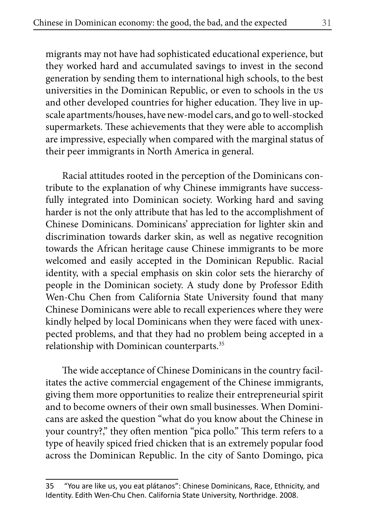migrants may not have had sophisticated educational experience, but they worked hard and accumulated savings to invest in the second generation by sending them to international high schools, to the best universities in the Dominican Republic, or even to schools in the us and other developed countries for higher education. They live in upscale apartments/houses, have new-model cars, and go to well-stocked supermarkets. These achievements that they were able to accomplish are impressive, especially when compared with the marginal status of their peer immigrants in North America in general.

Racial attitudes rooted in the perception of the Dominicans contribute to the explanation of why Chinese immigrants have successfully integrated into Dominican society. Working hard and saving harder is not the only attribute that has led to the accomplishment of Chinese Dominicans. Dominicans' appreciation for lighter skin and discrimination towards darker skin, as well as negative recognition towards the African heritage cause Chinese immigrants to be more welcomed and easily accepted in the Dominican Republic. Racial identity, with a special emphasis on skin color sets the hierarchy of people in the Dominican society. A study done by Professor Edith Wen-Chu Chen from California State University found that many Chinese Dominicans were able to recall experiences where they were kindly helped by local Dominicans when they were faced with unexpected problems, and that they had no problem being accepted in a relationship with Dominican counterparts.<sup>35</sup>

The wide acceptance of Chinese Dominicans in the country facilitates the active commercial engagement of the Chinese immigrants, giving them more opportunities to realize their entrepreneurial spirit and to become owners of their own small businesses. When Dominicans are asked the question "what do you know about the Chinese in your country?," they often mention "pica pollo." This term refers to a type of heavily spiced fried chicken that is an extremely popular food across the Dominican Republic. In the city of Santo Domingo, pica

<sup>35 &</sup>quot;You are like us, you eat plátanos": Chinese Dominicans, Race, Ethnicity, and Identity. Edith Wen-Chu Chen. California State University, Northridge. 2008.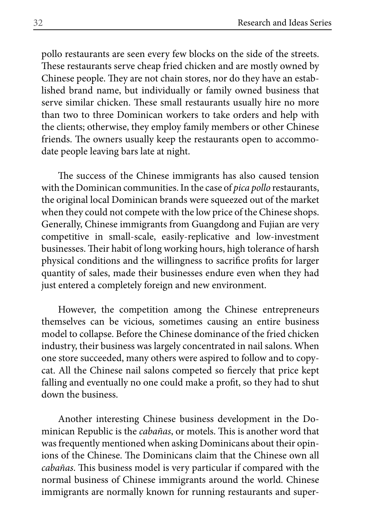pollo restaurants are seen every few blocks on the side of the streets. These restaurants serve cheap fried chicken and are mostly owned by Chinese people. They are not chain stores, nor do they have an established brand name, but individually or family owned business that serve similar chicken. These small restaurants usually hire no more than two to three Dominican workers to take orders and help with the clients; otherwise, they employ family members or other Chinese friends. The owners usually keep the restaurants open to accommodate people leaving bars late at night.

The success of the Chinese immigrants has also caused tension with the Dominican communities. In the case of *pica pollo* restaurants, the original local Dominican brands were squeezed out of the market when they could not compete with the low price of the Chinese shops. Generally, Chinese immigrants from Guangdong and Fujian are very competitive in small-scale, easily-replicative and low-investment businesses. Their habit of long working hours, high tolerance of harsh physical conditions and the willingness to sacrifice profits for larger quantity of sales, made their businesses endure even when they had just entered a completely foreign and new environment.

However, the competition among the Chinese entrepreneurs themselves can be vicious, sometimes causing an entire business model to collapse. Before the Chinese dominance of the fried chicken industry, their business was largely concentrated in nail salons. When one store succeeded, many others were aspired to follow and to copycat. All the Chinese nail salons competed so fiercely that price kept falling and eventually no one could make a profit, so they had to shut down the business.

Another interesting Chinese business development in the Dominican Republic is the *cabañas*, or motels. This is another word that was frequently mentioned when asking Dominicans about their opinions of the Chinese. The Dominicans claim that the Chinese own all *cabañas*. This business model is very particular if compared with the normal business of Chinese immigrants around the world. Chinese immigrants are normally known for running restaurants and super-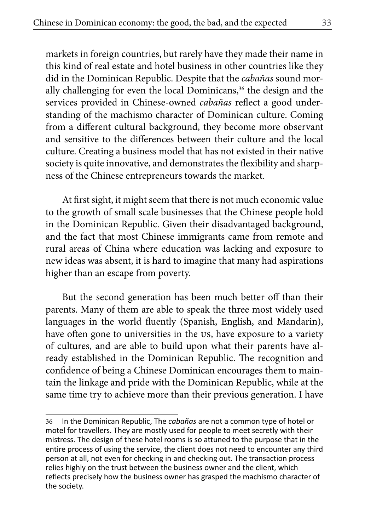markets in foreign countries, but rarely have they made their name in this kind of real estate and hotel business in other countries like they did in the Dominican Republic. Despite that the *cabañas* sound morally challenging for even the local Dominicans,<sup>36</sup> the design and the services provided in Chinese-owned *cabañas* reflect a good understanding of the machismo character of Dominican culture. Coming from a different cultural background, they become more observant and sensitive to the differences between their culture and the local culture. Creating a business model that has not existed in their native society is quite innovative, and demonstrates the flexibility and sharpness of the Chinese entrepreneurs towards the market.

At first sight, it might seem that there is not much economic value to the growth of small scale businesses that the Chinese people hold in the Dominican Republic. Given their disadvantaged background, and the fact that most Chinese immigrants came from remote and rural areas of China where education was lacking and exposure to new ideas was absent, it is hard to imagine that many had aspirations higher than an escape from poverty.

But the second generation has been much better off than their parents. Many of them are able to speak the three most widely used languages in the world fluently (Spanish, English, and Mandarin), have often gone to universities in the us, have exposure to a variety of cultures, and are able to build upon what their parents have already established in the Dominican Republic. The recognition and confidence of being a Chinese Dominican encourages them to maintain the linkage and pride with the Dominican Republic, while at the same time try to achieve more than their previous generation. I have

<sup>36</sup> In the Dominican Republic, The *cabañas* are not a common type of hotel or motel for travellers. They are mostly used for people to meet secretly with their mistress. The design of these hotel rooms is so attuned to the purpose that in the entire process of using the service, the client does not need to encounter any third person at all, not even for checking in and checking out. The transaction process relies highly on the trust between the business owner and the client, which reflects precisely how the business owner has grasped the machismo character of the society.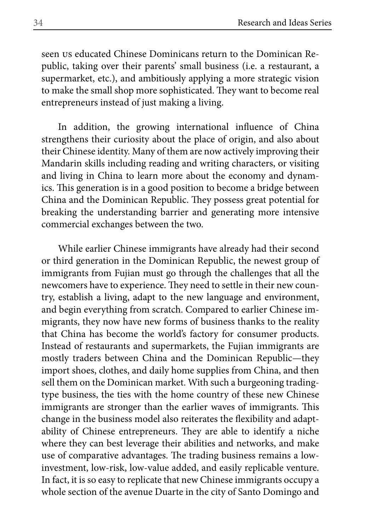seen us educated Chinese Dominicans return to the Dominican Republic, taking over their parents' small business (i.e. a restaurant, a supermarket, etc.), and ambitiously applying a more strategic vision to make the small shop more sophisticated. They want to become real entrepreneurs instead of just making a living.

In addition, the growing international influence of China strengthens their curiosity about the place of origin, and also about their Chinese identity. Many of them are now actively improving their Mandarin skills including reading and writing characters, or visiting and living in China to learn more about the economy and dynamics. This generation is in a good position to become a bridge between China and the Dominican Republic. They possess great potential for breaking the understanding barrier and generating more intensive commercial exchanges between the two.

While earlier Chinese immigrants have already had their second or third generation in the Dominican Republic, the newest group of immigrants from Fujian must go through the challenges that all the newcomers have to experience. They need to settle in their new country, establish a living, adapt to the new language and environment, and begin everything from scratch. Compared to earlier Chinese immigrants, they now have new forms of business thanks to the reality that China has become the world's factory for consumer products. Instead of restaurants and supermarkets, the Fujian immigrants are mostly traders between China and the Dominican Republic—they import shoes, clothes, and daily home supplies from China, and then sell them on the Dominican market. With such a burgeoning tradingtype business, the ties with the home country of these new Chinese immigrants are stronger than the earlier waves of immigrants. This change in the business model also reiterates the flexibility and adaptability of Chinese entrepreneurs. They are able to identify a niche where they can best leverage their abilities and networks, and make use of comparative advantages. The trading business remains a lowinvestment, low-risk, low-value added, and easily replicable venture. In fact, it is so easy to replicate that new Chinese immigrants occupy a whole section of the avenue Duarte in the city of Santo Domingo and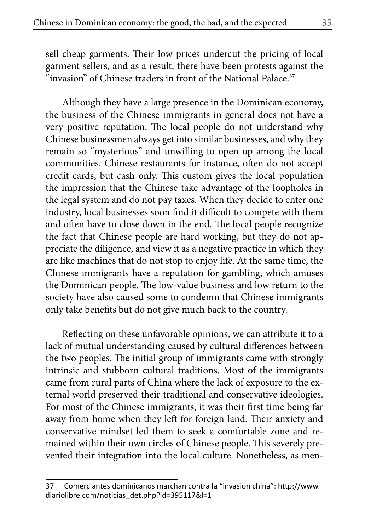sell cheap garments. Their low prices undercut the pricing of local garment sellers, and as a result, there have been protests against the "invasion" of Chinese traders in front of the National Palace. $37$ 

Although they have a large presence in the Dominican economy, the business of the Chinese immigrants in general does not have a very positive reputation. The local people do not understand why Chinese businessmen always get into similar businesses, and why they remain so "mysterious" and unwilling to open up among the local communities. Chinese restaurants for instance, often do not accept credit cards, but cash only. This custom gives the local population the impression that the Chinese take advantage of the loopholes in the legal system and do not pay taxes. When they decide to enter one industry, local businesses soon find it difficult to compete with them and often have to close down in the end. The local people recognize the fact that Chinese people are hard working, but they do not appreciate the diligence, and view it as a negative practice in which they are like machines that do not stop to enjoy life. At the same time, the Chinese immigrants have a reputation for gambling, which amuses the Dominican people. The low-value business and low return to the society have also caused some to condemn that Chinese immigrants only take benefits but do not give much back to the country.

Reflecting on these unfavorable opinions, we can attribute it to a lack of mutual understanding caused by cultural differences between the two peoples. The initial group of immigrants came with strongly intrinsic and stubborn cultural traditions. Most of the immigrants came from rural parts of China where the lack of exposure to the external world preserved their traditional and conservative ideologies. For most of the Chinese immigrants, it was their first time being far away from home when they left for foreign land. Their anxiety and conservative mindset led them to seek a comfortable zone and remained within their own circles of Chinese people. This severely prevented their integration into the local culture. Nonetheless, as men-

<sup>37</sup> Comerciantes dominicanos marchan contra la "invasion china": http://www. diariolibre.com/noticias\_det.php?id=395117&l=1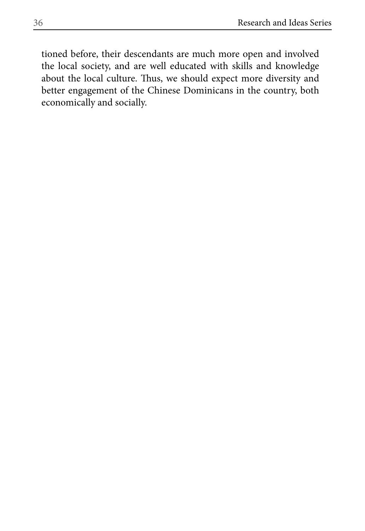tioned before, their descendants are much more open and involved the local society, and are well educated with skills and knowledge about the local culture. Thus, we should expect more diversity and better engagement of the Chinese Dominicans in the country, both economically and socially.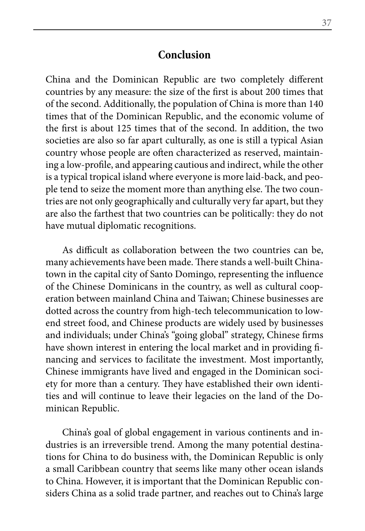#### **Conclusion**

China and the Dominican Republic are two completely different countries by any measure: the size of the first is about 200 times that of the second. Additionally, the population of China is more than 140 times that of the Dominican Republic, and the economic volume of the first is about 125 times that of the second. In addition, the two societies are also so far apart culturally, as one is still a typical Asian country whose people are often characterized as reserved, maintaining a low-profile, and appearing cautious and indirect, while the other is a typical tropical island where everyone is more laid-back, and people tend to seize the moment more than anything else. The two countries are not only geographically and culturally very far apart, but they are also the farthest that two countries can be politically: they do not have mutual diplomatic recognitions.

As difficult as collaboration between the two countries can be, many achievements have been made. There stands a well-built Chinatown in the capital city of Santo Domingo, representing the influence of the Chinese Dominicans in the country, as well as cultural cooperation between mainland China and Taiwan; Chinese businesses are dotted across the country from high-tech telecommunication to lowend street food, and Chinese products are widely used by businesses and individuals; under China's "going global" strategy, Chinese firms have shown interest in entering the local market and in providing financing and services to facilitate the investment. Most importantly, Chinese immigrants have lived and engaged in the Dominican society for more than a century. They have established their own identities and will continue to leave their legacies on the land of the Dominican Republic.

China's goal of global engagement in various continents and industries is an irreversible trend. Among the many potential destinations for China to do business with, the Dominican Republic is only a small Caribbean country that seems like many other ocean islands to China. However, it is important that the Dominican Republic considers China as a solid trade partner, and reaches out to China's large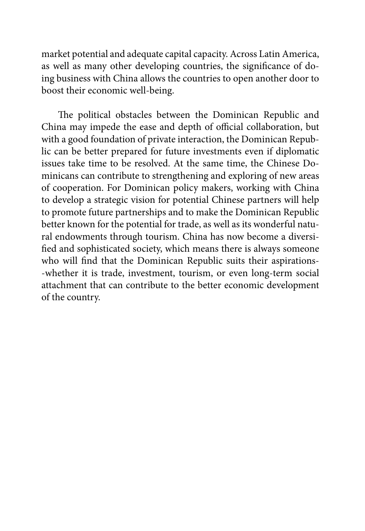market potential and adequate capital capacity. Across Latin America, as well as many other developing countries, the significance of doing business with China allows the countries to open another door to boost their economic well-being.

The political obstacles between the Dominican Republic and China may impede the ease and depth of official collaboration, but with a good foundation of private interaction, the Dominican Republic can be better prepared for future investments even if diplomatic issues take time to be resolved. At the same time, the Chinese Dominicans can contribute to strengthening and exploring of new areas of cooperation. For Dominican policy makers, working with China to develop a strategic vision for potential Chinese partners will help to promote future partnerships and to make the Dominican Republic better known for the potential for trade, as well as its wonderful natural endowments through tourism. China has now become a diversified and sophisticated society, which means there is always someone who will find that the Dominican Republic suits their aspirations- -whether it is trade, investment, tourism, or even long-term social attachment that can contribute to the better economic development of the country.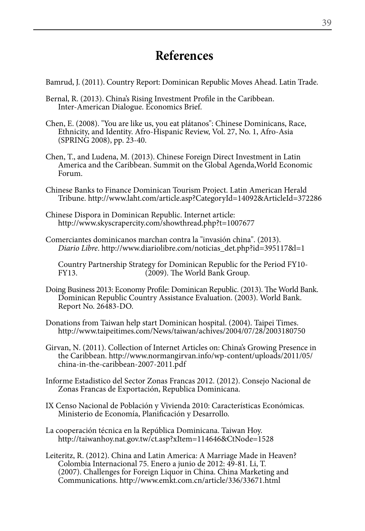## **References**

Bamrud, J. (2011). Country Report: Dominican Republic Moves Ahead. Latin Trade.

- Bernal, R. (2013). China's Rising Investment Profile in the Caribbean. Inter-American Dialogue. Economics Brief.
- Chen, E. (2008). "You are like us, you eat plátanos": Chinese Dominicans, Race, Ethnicity, and Identity. Afro-Hispanic Review, Vol. 27, No. 1, Afro-Asia (SPRING 2008), pp. 23-40.
- Chen, T., and Ludena, M. (2013). Chinese Foreign Direct Investment in Latin America and the Caribbean. Summit on the Global Agenda,World Economic Forum.
- Chinese Banks to Finance Dominican Tourism Project. Latin American Herald Tribune. http://www.laht.com/article.asp?CategoryId=14092&ArticleId=372286
- Chinese Dispora in Dominican Republic. Internet article: http://www.skyscrapercity.com/showthread.php?t=1007677
- Comerciantes dominicanos marchan contra la "invasión china". (2013). *Diario Libre*. http://www.diariolibre.com/noticias\_det.php?id=395117&l=1

Country Partnership Strategy for Dominican Republic for the Period FY10- FY13. (2009). The World Bank Group.

- Doing Business 2013: Economy Profile: Dominican Republic. (2013). The World Bank. Dominican Republic Country Assistance Evaluation. (2003). World Bank. Report No. 26483-DO.
- Donations from Taiwan help start Dominican hospital. (2004). Taipei Times. http://www.taipeitimes.com/News/taiwan/achives/2004/07/28/2003180750
- Girvan, N. (2011). Collection of Internet Articles on: China's Growing Presence in the Caribbean. http://www.normangirvan.info/wp-content/uploads/2011/05/ china-in-the-caribbean-2007-2011.pdf
- Informe Estadistico del Sector Zonas Francas 2012. (2012). Consejo Nacional de Zonas Francas de Exportación, Republica Dominicana.
- IX Censo Nacional de Población y Vivienda 2010: Características Económicas. Ministerio de Economía, Planificación y Desarrollo.
- La cooperación técnica en la República Dominicana. Taiwan Hoy. http://taiwanhoy.nat.gov.tw/ct.asp?xItem=114646&CtNode=1528
- Leiteritz, R. (2012). China and Latin America: A Marriage Made in Heaven? Colombia Internacional 75. Enero a junio de 2012: 49-81. Li, T. (2007). Challenges for Foreign Liquor in China. China Marketing and Communications. http://www.emkt.com.cn/article/336/33671.html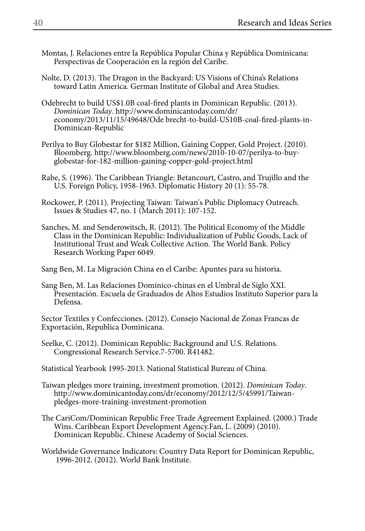- Montas, J. Relaciones entre la República Popular China y República Dominicana: Perspectivas de Cooperación en la región del Caribe.
- Nolte, D. (2013). The Dragon in the Backyard: US Visions of China's Relations toward Latin America. German Institute of Global and Area Studies.
- Odebrecht to build US\$1.0B coal-fired plants in Dominican Republic. (2013). *Dominican Today*. http://www.dominicantoday.com/dr/ economy/2013/11/15/49648/Ode brecht-to-build-US10B-coal-fired-plants-in-Dominican-Republic
- Perilya to Buy Globestar for \$182 Million, Gaining Copper, Gold Project. (2010). Bloomberg. http://www.bloomberg.com/news/2010-10-07/perilya-to-buyglobestar-for-182-million-gaining-copper-gold-project.html
- Rabe, S. (1996). The Caribbean Triangle: Betancourt, Castro, and Trujillo and the U.S. Foreign Policy, 1958-1963. Diplomatic History 20 (1): 55-78.
- Rockower, P. (2011). Projecting Taiwan: Taiwan's Public Diplomacy Outreach. Issues & Studies 47, no. 1 (March 2011): 107-152.
- Sanches, M. and Senderowitsch, R. (2012). The Political Economy of the Middle Class in the Dominican Republic: Individualization of Public Goods, Lack of Institutional Trust and Weak Collective Action. The World Bank. Policy Research Working Paper 6049.
- Sang Ben, M. La Migración China en el Caribe: Apuntes para su historia.
- Sang Ben, M. Las Relaciones Dominico-chinas en el Umbral de Siglo XXI. Presentación. Escuela de Graduados de Altos Estudios Instituto Superior para la Defensa.

Sector Textiles y Confecciones. (2012). Consejo Nacional de Zonas Francas de Exportación, Republica Dominicana.

- Seelke, C. (2012). Dominican Republic: Background and U.S. Relations. Congressional Research Service.7-5700. R41482.
- Statistical Yearbook 1995-2013. National Statistical Bureau of China.
- Taiwan pledges more training, investment promotion. (2012). *Dominican Today*. http://www.dominicantoday.com/dr/economy/2012/12/5/45991/Taiwanpledges-more-training-investment-promotion
- The CariCom/Dominican Republic Free Trade Agreement Explained. (2000.) Trade Wins. Caribbean Export Development Agency.Fan, L. (2009) (2010). Dominican Republic. Chinese Academy of Social Sciences.
- Worldwide Governance Indicators: Country Data Report for Dominican Republic, 1996-2012. (2012). World Bank Institute.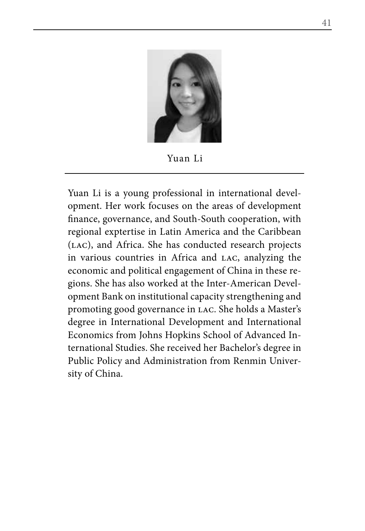

Yuan Li

Yuan Li is a young professional in international development. Her work focuses on the areas of development finance, governance, and South-South cooperation, with regional exptertise in Latin America and the Caribbean (lac), and Africa. She has conducted research projects in various countries in Africa and lac, analyzing the economic and political engagement of China in these regions. She has also worked at the Inter-American Development Bank on institutional capacity strengthening and promoting good governance in lac. She holds a Master's degree in International Development and International Economics from Johns Hopkins School of Advanced International Studies. She received her Bachelor's degree in Public Policy and Administration from Renmin University of China.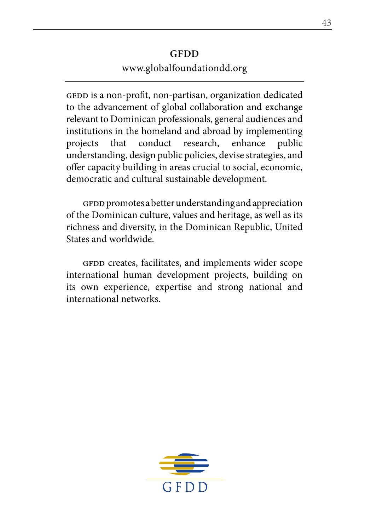#### **GFDD** www.globalfoundationdd.org

GFDD is a non-profit, non-partisan, organization dedicated to the advancement of global collaboration and exchange relevant to Dominican professionals, general audiences and institutions in the homeland and abroad by implementing projects that conduct research, enhance public understanding, design public policies, devise strategies, and offer capacity building in areas crucial to social, economic, democratic and cultural sustainable development.

gfdd promotes a better understanding and appreciation of the Dominican culture, values and heritage, as well as its richness and diversity, in the Dominican Republic, United States and worldwide.

GFDD creates, facilitates, and implements wider scope international human development projects, building on its own experience, expertise and strong national and international networks.

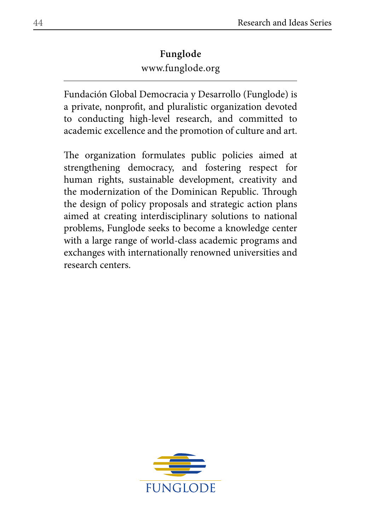# www.funglode.org **Funglode**

Fundación Global Democracia y Desarrollo (Funglode) is a private, nonprofit, and pluralistic organization devoted to conducting high-level research, and committed to academic excellence and the promotion of culture and art.

The organization formulates public policies aimed at strengthening democracy, and fostering respect for human rights, sustainable development, creativity and the modernization of the Dominican Republic. Through the design of policy proposals and strategic action plans aimed at creating interdisciplinary solutions to national problems, Funglode seeks to become a knowledge center with a large range of world-class academic programs and exchanges with internationally renowned universities and research centers.

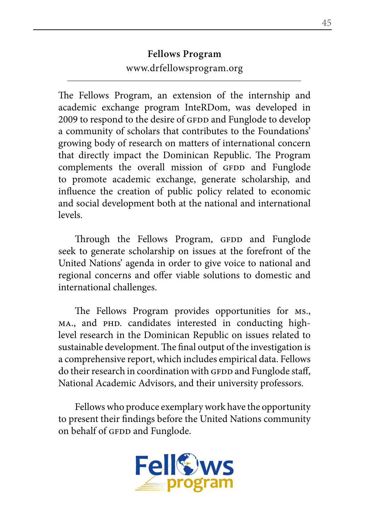## **Fellows Program** www.drfellowsprogram.org

The Fellows Program, an extension of the internship and academic exchange program InteRDom, was developed in 2009 to respond to the desire of GFDD and Funglode to develop a community of scholars that contributes to the Foundations' growing body of research on matters of international concern that directly impact the Dominican Republic. The Program complements the overall mission of GFDD and Funglode to promote academic exchange, generate scholarship, and influence the creation of public policy related to economic and social development both at the national and international levels.

Through the Fellows Program, GFDD and Funglode seek to generate scholarship on issues at the forefront of the United Nations' agenda in order to give voice to national and regional concerns and offer viable solutions to domestic and international challenges.

The Fellows Program provides opportunities for ms., MA., and PHD. candidates interested in conducting highlevel research in the Dominican Republic on issues related to sustainable development. The final output of the investigation is a comprehensive report, which includes empirical data. Fellows do their research in coordination with GFDD and Funglode staff, National Academic Advisors, and their university professors.

Fellows who produce exemplary work have the opportunity to present their findings before the United Nations community on behalf of GFDD and Funglode.